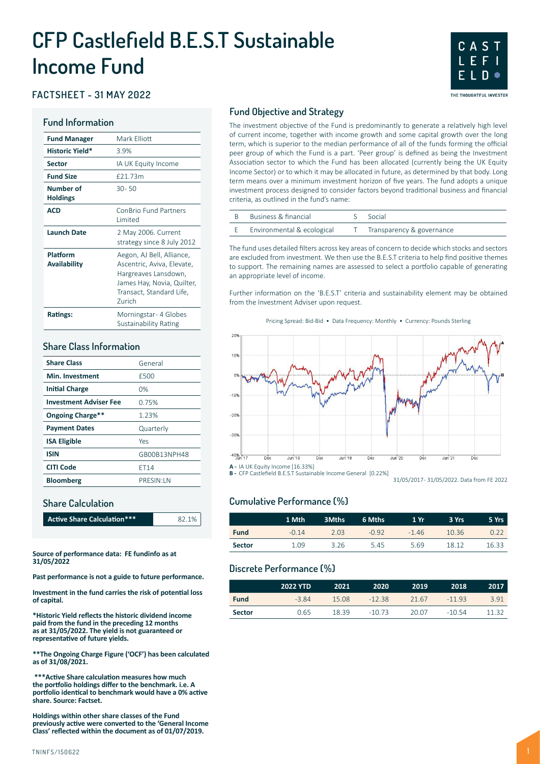# **CFP Castlefield B.E.S.T Sustainable Income Fund**



# **FACTSHEET - 31 MAY 2022**

#### **Fund Information**

| <b>Fund Manager</b>             | Mark Elliott                                                                                                                                        |
|---------------------------------|-----------------------------------------------------------------------------------------------------------------------------------------------------|
| Historic Yield*                 | 3.9%                                                                                                                                                |
| <b>Sector</b>                   | IA UK Equity Income                                                                                                                                 |
| <b>Fund Size</b>                | £21.73m                                                                                                                                             |
| Numher of<br><b>Holdings</b>    | $30 - 50$                                                                                                                                           |
| ACD                             | ConBrio Fund Partners<br>I imited                                                                                                                   |
| Launch Date                     | 2 May 2006. Current<br>strategy since 8 July 2012                                                                                                   |
| Platform<br><b>Availability</b> | Aegon, AJ Bell, Alliance,<br>Ascentric, Aviva, Elevate,<br>Hargreaves Lansdown,<br>James Hay, Novia, Quilter,<br>Transact, Standard Life,<br>Zurich |
| Ratings:                        | Morningstar- 4 Globes<br><b>Sustainability Rating</b>                                                                                               |

### **Share Class Information**

| <b>Share Class</b>            | General      |
|-------------------------------|--------------|
| <b>Min. Investment</b>        | £500         |
| <b>Initial Charge</b>         | 0%           |
| <b>Investment Adviser Fee</b> | 0.75%        |
| Ongoing Charge**              | 1.23%        |
| <b>Payment Dates</b>          | Quarterly    |
| <b>ISA Eligible</b>           | Yes          |
| <b>ISIN</b>                   | GB00B13NPH48 |
| <b>CITI Code</b>              | FT14         |
| <b>Bloomberg</b>              | PRESIN:LN    |

# **Share Calculation**

| Active Share Calculation***<br>82.1% |
|--------------------------------------|
|--------------------------------------|

**Source of performance data: FE fundinfo as at 31/05/2022**

**Past performance is not a guide to future performance.**

**Investment in the fund carries the risk of potential loss of capital.**

**\*Historic Yield reflects the historic dividend income paid from the fund in the preceding 12 months as at 31/05/2022. The yield is not guaranteed or representative of future yields.**

**\*\*The Ongoing Charge Figure ('OCF') has been calculated as of 31/08/2021.**

 **\*\*\*Active Share calculation measures how much the portfolio holdings differ to the benchmark. i.e. A portfolio identical to benchmark would have a 0% active share. Source: Factset.**

**Holdings within other share classes of the Fund previously active were converted to the 'General Income Class' reflected within the document as of 01/07/2019.**

The investment objective of the Fund is predominantly to generate a relatively high level of current income, together with income growth and some capital growth over the long term, which is superior to the median performance of all of the funds forming the official peer group of which the Fund is a part. 'Peer group' is defined as being the Investment Association sector to which the Fund has been allocated (currently being the UK Equity Income Sector) or to which it may be allocated in future, as determined by that body. Long term means over a minimum investment horizon of five years. The fund adopts a unique investment process designed to consider factors beyond traditional business and financial criteria, as outlined in the fund's name:

| Business & financial       | Social                    |
|----------------------------|---------------------------|
| Environmental & ecological | Transparency & governance |

The fund uses detailed filters across key areas of concern to decide which stocks and sectors are excluded from investment. We then use the B.E.S.T criteria to help find positive themes to support. The remaining names are assessed to select a portfolio capable of generating an appropriate level of income.

Further information on the 'B.E.S.T' criteria and sustainability element may be obtained from the Investment Adviser upon request.

Pricing Spread: Bid-Bid • Data Frequency: Monthly • Currency: Pounds Sterling



31/05/2017 - 31/05/2022. Data from FE 2022

## **Cumulative Performance (%)**

|        | 1 Mth   | 3Mths | 6 Mths  | 1Yr     | 3 Yrs | 5 Yrs |
|--------|---------|-------|---------|---------|-------|-------|
| Fund   | $-0.14$ | 2.03  | $-0.92$ | $-1.46$ | 10.36 | 0.22  |
| Sector | 1.09    | 3.26  | 5.45    | 5.69    | 18.12 | 16.33 |

### **Discrete Performance (%)**

|               | <b>2022 YTD</b> | 2021  | 2020     | 2019  | 2018     | 2017  |
|---------------|-----------------|-------|----------|-------|----------|-------|
| <b>Fund</b>   | $-3.84$         | 15.08 | $-12.38$ | 21.67 | $-11.93$ | 3.91  |
| <b>Sector</b> | 0.65            | 18.39 | $-10.73$ | 20.07 | $-10.54$ | 11.32 |